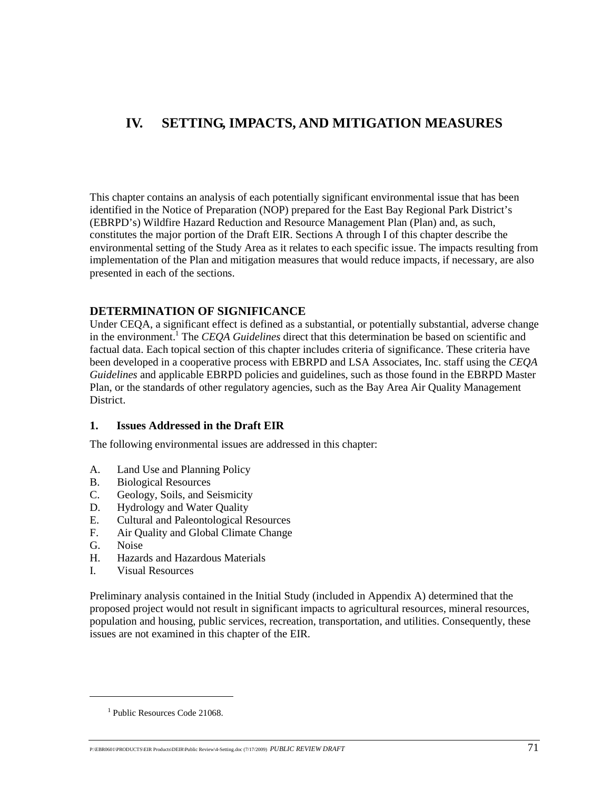## **IV. SETTING, IMPACTS, AND MITIGATION MEASURES**

This chapter contains an analysis of each potentially significant environmental issue that has been identified in the Notice of Preparation (NOP) prepared for the East Bay Regional Park District's (EBRPD's) Wildfire Hazard Reduction and Resource Management Plan (Plan) and, as such, constitutes the major portion of the Draft EIR. Sections A through I of this chapter describe the environmental setting of the Study Area as it relates to each specific issue. The impacts resulting from implementation of the Plan and mitigation measures that would reduce impacts*,* if necessary, are also presented in each of the sections.

## **DETERMINATION OF SIGNIFICANCE**

Under CEQA, a significant effect is defined as a substantial, or potentially substantial, adverse change in the environment.<sup>1</sup> The *CEQA Guidelines* direct that this determination be based on scientific and factual data. Each topical section of this chapter includes criteria of significance. These criteria have been developed in a cooperative process with EBRPD and LSA Associates, Inc. staff using the *CEQA Guidelines* and applicable EBRPD policies and guidelines, such as those found in the EBRPD Master Plan, or the standards of other regulatory agencies, such as the Bay Area Air Quality Management District.

## **1. Issues Addressed in the Draft EIR**

The following environmental issues are addressed in this chapter:

- A. Land Use and Planning Policy
- B. Biological Resources
- C. Geology, Soils, and Seismicity
- D. Hydrology and Water Quality
- E. Cultural and Paleontological Resources
- F. Air Quality and Global Climate Change
- G. Noise

1

- H. Hazards and Hazardous Materials
- I. Visual Resources

Preliminary analysis contained in the Initial Study (included in Appendix A) determined that the proposed project would not result in significant impacts to agricultural resources, mineral resources, population and housing, public services, recreation, transportation, and utilities. Consequently, these issues are not examined in this chapter of the EIR.

<sup>&</sup>lt;sup>1</sup> Public Resources Code 21068.